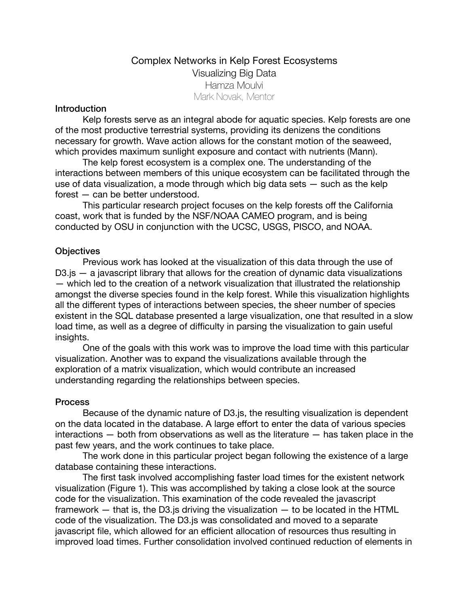# Complex Networks in Kelp Forest Ecosystems Visualizing Big Data Hamza Moulvi Mark Novak, Mentor

### Introduction

Kelp forests serve as an integral abode for aquatic species. Kelp forests are one of the most productive terrestrial systems, providing its denizens the conditions necessary for growth. Wave action allows for the constant motion of the seaweed, which provides maximum sunlight exposure and contact with nutrients (Mann).

The kelp forest ecosystem is a complex one. The understanding of the interactions between members of this unique ecosystem can be facilitated through the use of data visualization, a mode through which big data sets — such as the kelp forest — can be better understood.

This particular research project focuses on the kelp forests off the California coast, work that is funded by the NSF/NOAA CAMEO program, and is being conducted by OSU in conjunction with the UCSC, USGS, PISCO, and NOAA.

### **Objectives**

Previous work has looked at the visualization of this data through the use of D3.js *—* a javascript library that allows for the creation of dynamic data visualizations — which led to the creation of a network visualization that illustrated the relationship amongst the diverse species found in the kelp forest. While this visualization highlights all the different types of interactions between species, the sheer number of species existent in the SQL database presented a large visualization, one that resulted in a slow load time, as well as a degree of difficulty in parsing the visualization to gain useful insights.

One of the goals with this work was to improve the load time with this particular visualization. Another was to expand the visualizations available through the exploration of a matrix visualization, which would contribute an increased understanding regarding the relationships between species.

### Process

Because of the dynamic nature of D3.js, the resulting visualization is dependent on the data located in the database. A large effort to enter the data of various species interactions — both from observations as well as the literature — has taken place in the past few years, and the work continues to take place.

The work done in this particular project began following the existence of a large database containing these interactions.

The first task involved accomplishing faster load times for the existent network visualization (Figure 1). This was accomplished by taking a close look at the source code for the visualization. This examination of the code revealed the javascript framework  $-$  that is, the D3. is driving the visualization  $-$  to be located in the HTML code of the visualization. The D3.js was consolidated and moved to a separate javascript file, which allowed for an efficient allocation of resources thus resulting in improved load times. Further consolidation involved continued reduction of elements in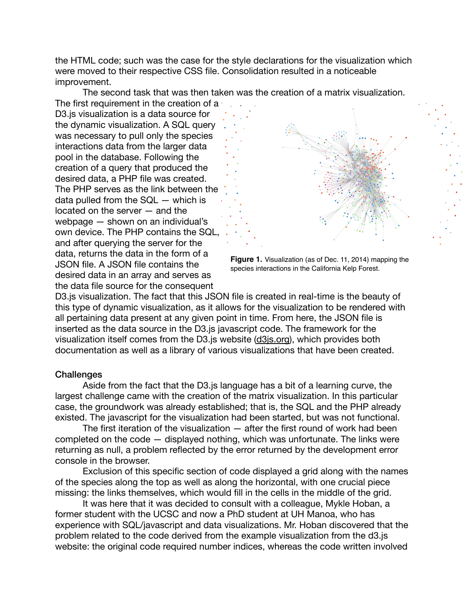the HTML code; such was the case for the style declarations for the visualization which were moved to their respective CSS file. Consolidation resulted in a noticeable improvement.

The second task that was then taken was the creation of a matrix visualization.

The first requirement in the creation of a D3.js visualization is a data source for the dynamic visualization. A SQL query was necessary to pull only the species interactions data from the larger data pool in the database. Following the creation of a query that produced the desired data, a PHP file was created. The PHP serves as the link between the data pulled from the SQL — which is located on the server — and the webpage — shown on an individual's own device. The PHP contains the SQL, and after querying the server for the data, returns the data in the form of a JSON file. A JSON file contains the desired data in an array and serves as the data file source for the consequent



**Figure 1.** Visualization (as of Dec. 11, 2014) mapping the species interactions in the California Kelp Forest.

D3.js visualization. The fact that this JSON file is created in real-time is the beauty of this type of dynamic visualization, as it allows for the visualization to be rendered with all pertaining data present at any given point in time. From here, the JSON file is inserted as the data source in the D3.js javascript code. The framework for the visualization itself comes from the D3.js website ([d3js.org](http://d3js.org)), which provides both documentation as well as a library of various visualizations that have been created.

#### **Challenges**

Aside from the fact that the D3.js language has a bit of a learning curve, the largest challenge came with the creation of the matrix visualization. In this particular case, the groundwork was already established; that is, the SQL and the PHP already existed. The javascript for the visualization had been started, but was not functional.

The first iteration of the visualization  $-$  after the first round of work had been completed on the code — displayed nothing, which was unfortunate. The links were returning as null, a problem reflected by the error returned by the development error console in the browser.

Exclusion of this specific section of code displayed a grid along with the names of the species along the top as well as along the horizontal, with one crucial piece missing: the links themselves, which would fill in the cells in the middle of the grid.

It was here that it was decided to consult with a colleague, Mykle Hoban, a former student with the UCSC and now a PhD student at UH Manoa, who has experience with SQL/javascript and data visualizations. Mr. Hoban discovered that the problem related to the code derived from the example visualization from the d3.js website: the original code required number indices, whereas the code written involved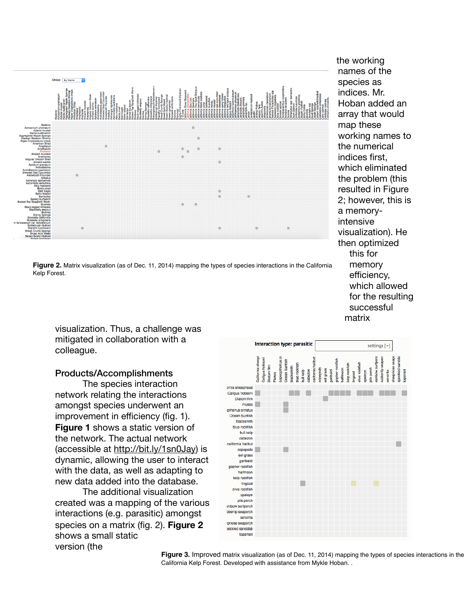

**Figure 2.** Matrix visualization (as of Dec. 11, 2014) mapping the types of species interactions in the California Kelp Forest.

names of the species as indices. Mr. Hoban added an array that would map these working names to the numerical indices first, which eliminated the problem (this resulted in Figure 2; however, this is a memoryintensive visualization). He then optimized this for memory efficiency, which allowed for the resulting successful matrix

visualization. Thus, a challenge was mitigated in collaboration with a colleague.

### Products/Accomplishments

The species interaction network relating the interactions amongst species underwent an improvement in efficiency (fig. 1). **Figure 1** shows a static version of the network. The actual network (accessible at http://bit.ly/1sn0Jay) is dynamic, allowing the user to interact with the data, as well as adapting to new data added into the database.

The additional visualization created was a mapping of the various interactions (e.g. parasitic) amongst species on a matrix (fig. 2). **Figure 2** shows a small static version (the



**Figure 3.** Improved matrix visualization (as of Dec. 11, 2014) mapping the types of species interactions in the California Kelp Forest. Developed with assistance from Mykle Hoban. .